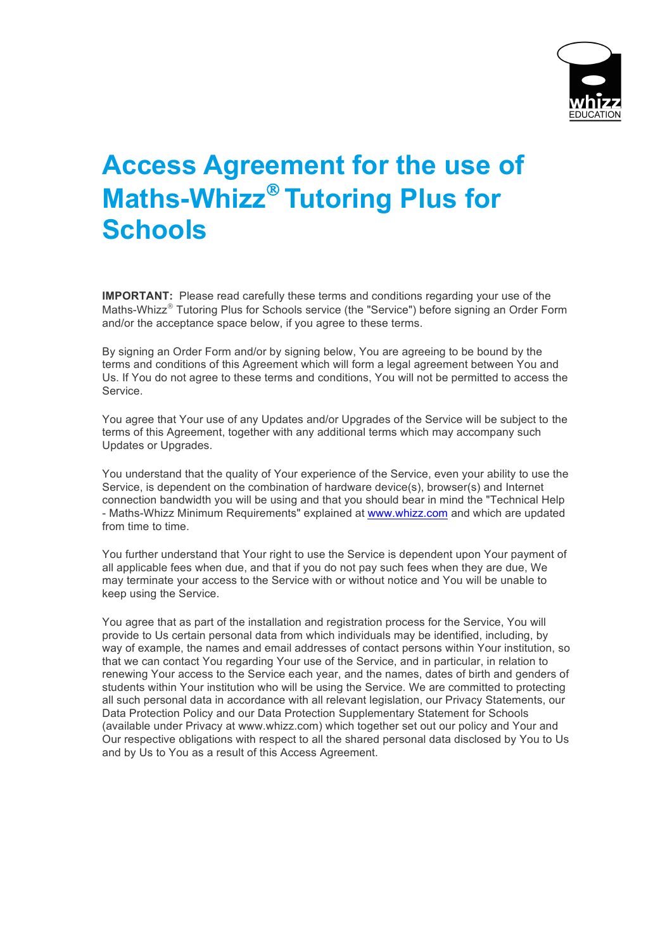

## **Access Agreement for the use of Maths-Whizz<sup>®</sup> Tutoring Plus for Schools**

**IMPORTANT:** Please read carefully these terms and conditions regarding your use of the Maths-Whizz<sup>®</sup> Tutoring Plus for Schools service (the "Service") before signing an Order Form and/or the acceptance space below, if you agree to these terms.

By signing an Order Form and/or by signing below, You are agreeing to be bound by the terms and conditions of this Agreement which will form a legal agreement between You and Us. If You do not agree to these terms and conditions, You will not be permitted to access the Service.

You agree that Your use of any Updates and/or Upgrades of the Service will be subject to the terms of this Agreement, together with any additional terms which may accompany such Updates or Upgrades.

You understand that the quality of Your experience of the Service, even your ability to use the Service, is dependent on the combination of hardware device(s), browser(s) and Internet connection bandwidth you will be using and that you should bear in mind the "Technical Help - Maths-Whizz Minimum Requirements" explained at www.whizz.com and which are updated from time to time.

You further understand that Your right to use the Service is dependent upon Your payment of all applicable fees when due, and that if you do not pay such fees when they are due, We may terminate your access to the Service with or without notice and You will be unable to keep using the Service.

You agree that as part of the installation and registration process for the Service, You will provide to Us certain personal data from which individuals may be identified, including, by way of example, the names and email addresses of contact persons within Your institution, so that we can contact You regarding Your use of the Service, and in particular, in relation to renewing Your access to the Service each year, and the names, dates of birth and genders of students within Your institution who will be using the Service. We are committed to protecting all such personal data in accordance with all relevant legislation, our Privacy Statements, our Data Protection Policy and our Data Protection Supplementary Statement for Schools (available under Privacy at www.whizz.com) which together set out our policy and Your and Our respective obligations with respect to all the shared personal data disclosed by You to Us and by Us to You as a result of this Access Agreement.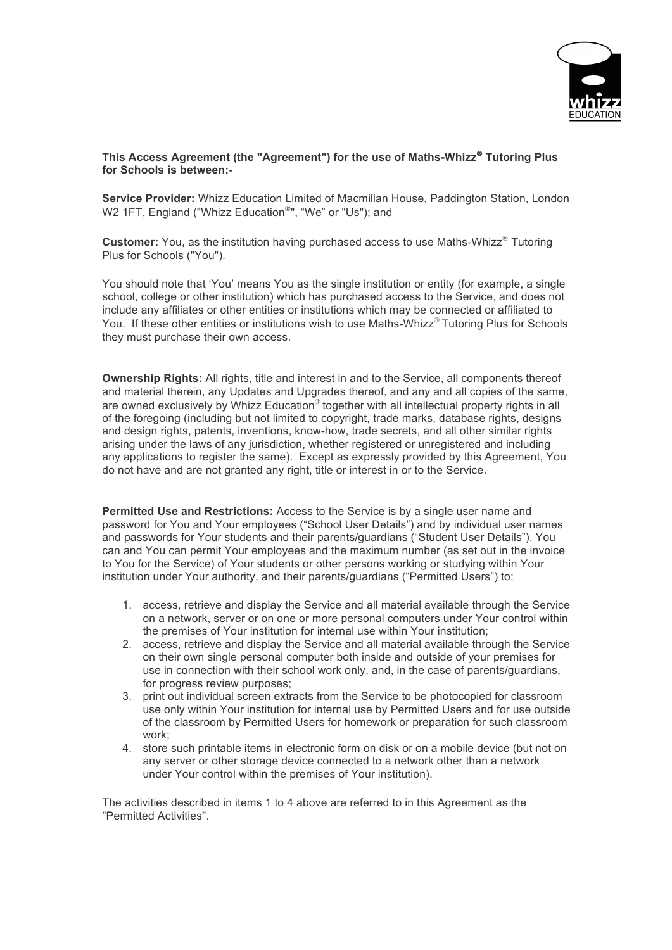

## **This Access Agreement (the "Agreement") for the use of Maths-Whizz**<sup>Ò</sup> **Tutoring Plus for Schools is between:-**

**Service Provider:** Whizz Education Limited of Macmillan House, Paddington Station, London W2 1FT, England ("Whizz Education®", "We" or "Us"): and

**Customer:** You, as the institution having purchased access to use Maths-Whizz® Tutoring Plus for Schools ("You").

You should note that 'You' means You as the single institution or entity (for example, a single school, college or other institution) which has purchased access to the Service, and does not include any affiliates or other entities or institutions which may be connected or affiliated to You. If these other entities or institutions wish to use Maths-Whizz® Tutoring Plus for Schools they must purchase their own access.

**Ownership Rights:** All rights, title and interest in and to the Service, all components thereof and material therein, any Updates and Upgrades thereof, and any and all copies of the same, are owned exclusively by Whizz Education<sup>®</sup> together with all intellectual property rights in all of the foregoing (including but not limited to copyright, trade marks, database rights, designs and design rights, patents, inventions, know-how, trade secrets, and all other similar rights arising under the laws of any jurisdiction, whether registered or unregistered and including any applications to register the same). Except as expressly provided by this Agreement, You do not have and are not granted any right, title or interest in or to the Service.

**Permitted Use and Restrictions:** Access to the Service is by a single user name and password for You and Your employees ("School User Details") and by individual user names and passwords for Your students and their parents/guardians ("Student User Details"). You can and You can permit Your employees and the maximum number (as set out in the invoice to You for the Service) of Your students or other persons working or studying within Your institution under Your authority, and their parents/guardians ("Permitted Users") to:

- 1. access, retrieve and display the Service and all material available through the Service on a network, server or on one or more personal computers under Your control within the premises of Your institution for internal use within Your institution;
- 2. access, retrieve and display the Service and all material available through the Service on their own single personal computer both inside and outside of your premises for use in connection with their school work only, and, in the case of parents/guardians, for progress review purposes;
- 3. print out individual screen extracts from the Service to be photocopied for classroom use only within Your institution for internal use by Permitted Users and for use outside of the classroom by Permitted Users for homework or preparation for such classroom work;
- 4. store such printable items in electronic form on disk or on a mobile device (but not on any server or other storage device connected to a network other than a network under Your control within the premises of Your institution).

The activities described in items 1 to 4 above are referred to in this Agreement as the "Permitted Activities".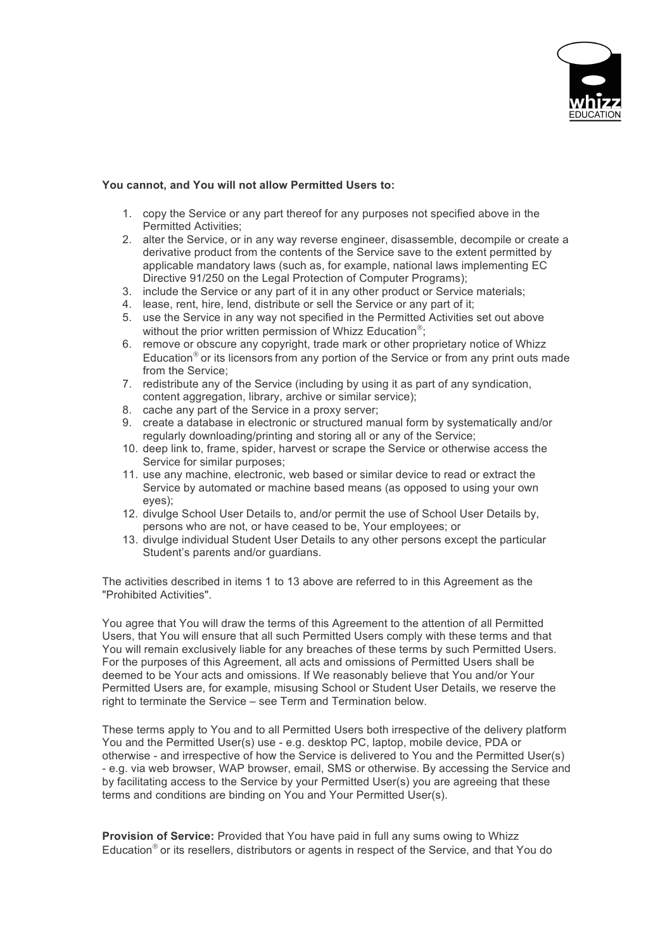

## **You cannot, and You will not allow Permitted Users to:**

- 1. copy the Service or any part thereof for any purposes not specified above in the Permitted Activities;
- 2. alter the Service, or in any way reverse engineer, disassemble, decompile or create a derivative product from the contents of the Service save to the extent permitted by applicable mandatory laws (such as, for example, national laws implementing EC Directive 91/250 on the Legal Protection of Computer Programs);
- 3. include the Service or any part of it in any other product or Service materials;
- 4. lease, rent, hire, lend, distribute or sell the Service or any part of it;
- 5. use the Service in any way not specified in the Permitted Activities set out above without the prior written permission of Whizz Education<sup>®</sup>;
- 6. remove or obscure any copyright, trade mark or other proprietary notice of Whizz Education $^{\circ}$  or its licensors from any portion of the Service or from any print outs made from the Service;
- 7. redistribute any of the Service (including by using it as part of any syndication, content aggregation, library, archive or similar service);
- 8. cache any part of the Service in a proxy server;
- 9. create a database in electronic or structured manual form by systematically and/or regularly downloading/printing and storing all or any of the Service;
- 10. deep link to, frame, spider, harvest or scrape the Service or otherwise access the Service for similar purposes;
- 11. use any machine, electronic, web based or similar device to read or extract the Service by automated or machine based means (as opposed to using your own eyes);
- 12. divulge School User Details to, and/or permit the use of School User Details by, persons who are not, or have ceased to be, Your employees; or
- 13. divulge individual Student User Details to any other persons except the particular Student's parents and/or guardians.

The activities described in items 1 to 13 above are referred to in this Agreement as the "Prohibited Activities".

You agree that You will draw the terms of this Agreement to the attention of all Permitted Users, that You will ensure that all such Permitted Users comply with these terms and that You will remain exclusively liable for any breaches of these terms by such Permitted Users. For the purposes of this Agreement, all acts and omissions of Permitted Users shall be deemed to be Your acts and omissions. If We reasonably believe that You and/or Your Permitted Users are, for example, misusing School or Student User Details, we reserve the right to terminate the Service – see Term and Termination below.

These terms apply to You and to all Permitted Users both irrespective of the delivery platform You and the Permitted User(s) use - e.g. desktop PC, laptop, mobile device, PDA or otherwise - and irrespective of how the Service is delivered to You and the Permitted User(s) - e.g. via web browser, WAP browser, email, SMS or otherwise. By accessing the Service and by facilitating access to the Service by your Permitted User(s) you are agreeing that these terms and conditions are binding on You and Your Permitted User(s).

**Provision of Service:** Provided that You have paid in full any sums owing to Whizz Education<sup>®</sup> or its resellers, distributors or agents in respect of the Service, and that You do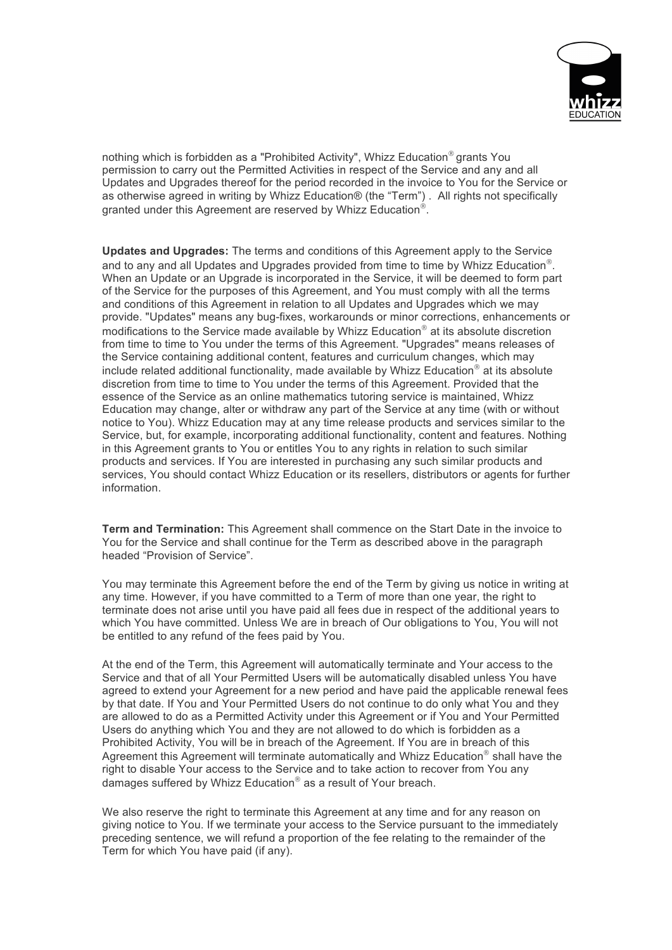

nothing which is forbidden as a "Prohibited Activity", Whizz Education<sup>®</sup> grants You permission to carry out the Permitted Activities in respect of the Service and any and all Updates and Upgrades thereof for the period recorded in the invoice to You for the Service or as otherwise agreed in writing by Whizz Education® (the "Term") . All rights not specifically granted under this Agreement are reserved by Whizz Education<sup>®</sup>.

**Updates and Upgrades:** The terms and conditions of this Agreement apply to the Service and to any and all Updates and Upgrades provided from time to time by Whizz Education<sup>®</sup>. When an Update or an Upgrade is incorporated in the Service, it will be deemed to form part of the Service for the purposes of this Agreement, and You must comply with all the terms and conditions of this Agreement in relation to all Updates and Upgrades which we may provide. "Updates" means any bug-fixes, workarounds or minor corrections, enhancements or modifications to the Service made available by Whizz Education<sup>®</sup> at its absolute discretion from time to time to You under the terms of this Agreement. "Upgrades" means releases of the Service containing additional content, features and curriculum changes, which may include related additional functionality, made available by Whizz Education<sup>®</sup> at its absolute discretion from time to time to You under the terms of this Agreement. Provided that the essence of the Service as an online mathematics tutoring service is maintained, Whizz Education may change, alter or withdraw any part of the Service at any time (with or without notice to You). Whizz Education may at any time release products and services similar to the Service, but, for example, incorporating additional functionality, content and features. Nothing in this Agreement grants to You or entitles You to any rights in relation to such similar products and services. If You are interested in purchasing any such similar products and services, You should contact Whizz Education or its resellers, distributors or agents for further information.

**Term and Termination:** This Agreement shall commence on the Start Date in the invoice to You for the Service and shall continue for the Term as described above in the paragraph headed "Provision of Service".

You may terminate this Agreement before the end of the Term by giving us notice in writing at any time. However, if you have committed to a Term of more than one year, the right to terminate does not arise until you have paid all fees due in respect of the additional years to which You have committed. Unless We are in breach of Our obligations to You, You will not be entitled to any refund of the fees paid by You.

At the end of the Term, this Agreement will automatically terminate and Your access to the Service and that of all Your Permitted Users will be automatically disabled unless You have agreed to extend your Agreement for a new period and have paid the applicable renewal fees by that date. If You and Your Permitted Users do not continue to do only what You and they are allowed to do as a Permitted Activity under this Agreement or if You and Your Permitted Users do anything which You and they are not allowed to do which is forbidden as a Prohibited Activity, You will be in breach of the Agreement. If You are in breach of this Agreement this Agreement will terminate automatically and Whizz Education<sup>®</sup> shall have the right to disable Your access to the Service and to take action to recover from You any damages suffered by Whizz Education<sup>®</sup> as a result of Your breach.

We also reserve the right to terminate this Agreement at any time and for any reason on giving notice to You. If we terminate your access to the Service pursuant to the immediately preceding sentence, we will refund a proportion of the fee relating to the remainder of the Term for which You have paid (if any).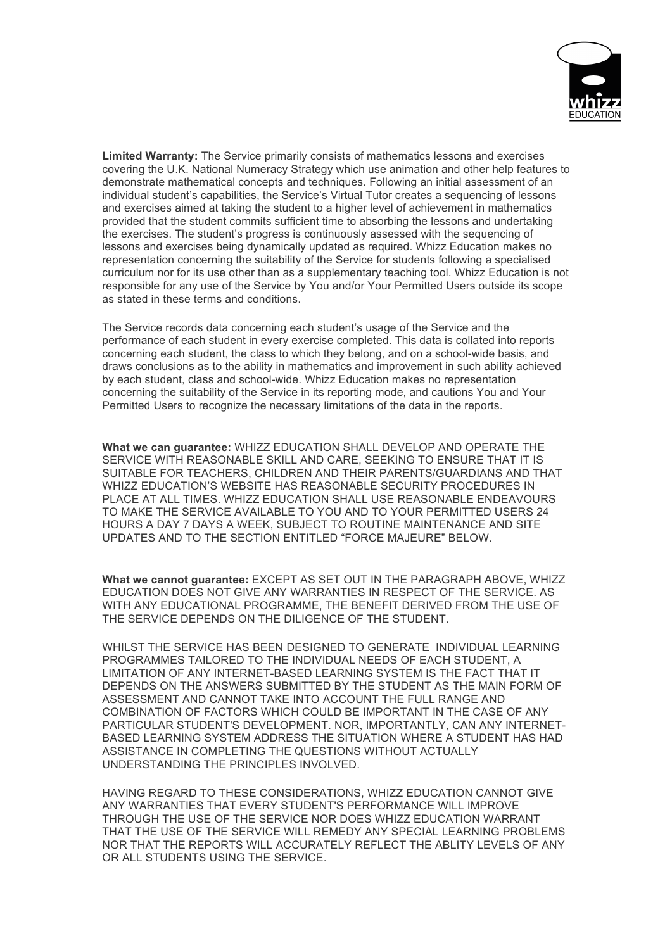

**Limited Warranty:** The Service primarily consists of mathematics lessons and exercises covering the U.K. National Numeracy Strategy which use animation and other help features to demonstrate mathematical concepts and techniques. Following an initial assessment of an individual student's capabilities, the Service's Virtual Tutor creates a sequencing of lessons and exercises aimed at taking the student to a higher level of achievement in mathematics provided that the student commits sufficient time to absorbing the lessons and undertaking the exercises. The student's progress is continuously assessed with the sequencing of lessons and exercises being dynamically updated as required. Whizz Education makes no representation concerning the suitability of the Service for students following a specialised curriculum nor for its use other than as a supplementary teaching tool. Whizz Education is not responsible for any use of the Service by You and/or Your Permitted Users outside its scope as stated in these terms and conditions.

The Service records data concerning each student's usage of the Service and the performance of each student in every exercise completed. This data is collated into reports concerning each student, the class to which they belong, and on a school-wide basis, and draws conclusions as to the ability in mathematics and improvement in such ability achieved by each student, class and school-wide. Whizz Education makes no representation concerning the suitability of the Service in its reporting mode, and cautions You and Your Permitted Users to recognize the necessary limitations of the data in the reports.

**What we can guarantee:** WHIZZ EDUCATION SHALL DEVELOP AND OPERATE THE SERVICE WITH REASONABLE SKILL AND CARE, SEEKING TO ENSURE THAT IT IS SUITABLE FOR TEACHERS, CHILDREN AND THEIR PARENTS/GUARDIANS AND THAT WHIZZ EDUCATION'S WEBSITE HAS REASONABLE SECURITY PROCEDURES IN PLACE AT ALL TIMES. WHIZZ EDUCATION SHALL USE REASONABLE ENDEAVOURS TO MAKE THE SERVICE AVAILABLE TO YOU AND TO YOUR PERMITTED USERS 24 HOURS A DAY 7 DAYS A WEEK, SUBJECT TO ROUTINE MAINTENANCE AND SITE UPDATES AND TO THE SECTION ENTITLED "FORCE MAJEURE" BELOW.

**What we cannot guarantee:** EXCEPT AS SET OUT IN THE PARAGRAPH ABOVE, WHIZZ EDUCATION DOES NOT GIVE ANY WARRANTIES IN RESPECT OF THE SERVICE. AS WITH ANY EDUCATIONAL PROGRAMME, THE BENEFIT DERIVED FROM THE USE OF THE SERVICE DEPENDS ON THE DILIGENCE OF THE STUDENT.

WHILST THE SERVICE HAS BEEN DESIGNED TO GENERATE INDIVIDUAL LEARNING PROGRAMMES TAILORED TO THE INDIVIDUAL NEEDS OF EACH STUDENT, A LIMITATION OF ANY INTERNET-BASED LEARNING SYSTEM IS THE FACT THAT IT DEPENDS ON THE ANSWERS SUBMITTED BY THE STUDENT AS THE MAIN FORM OF ASSESSMENT AND CANNOT TAKE INTO ACCOUNT THE FULL RANGE AND COMBINATION OF FACTORS WHICH COULD BE IMPORTANT IN THE CASE OF ANY PARTICULAR STUDENT'S DEVELOPMENT. NOR, IMPORTANTLY, CAN ANY INTERNET-BASED LEARNING SYSTEM ADDRESS THE SITUATION WHERE A STUDENT HAS HAD ASSISTANCE IN COMPLETING THE QUESTIONS WITHOUT ACTUALLY UNDERSTANDING THE PRINCIPLES INVOLVED.

HAVING REGARD TO THESE CONSIDERATIONS, WHIZZ EDUCATION CANNOT GIVE ANY WARRANTIES THAT EVERY STUDENT'S PERFORMANCE WILL IMPROVE THROUGH THE USE OF THE SERVICE NOR DOES WHIZZ EDUCATION WARRANT THAT THE USE OF THE SERVICE WILL REMEDY ANY SPECIAL LEARNING PROBLEMS NOR THAT THE REPORTS WILL ACCURATELY REFLECT THE ABLITY LEVELS OF ANY OR ALL STUDENTS USING THE SERVICE.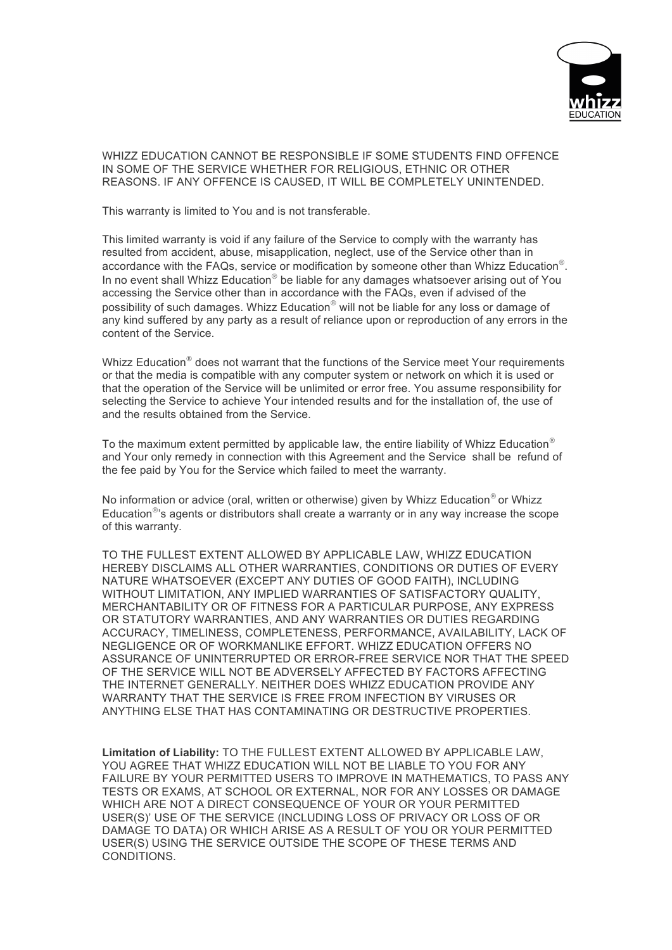

## WHIZZ EDUCATION CANNOT BE RESPONSIBLE IF SOME STUDENTS FIND OFFENCE IN SOME OF THE SERVICE WHETHER FOR RELIGIOUS, ETHNIC OR OTHER REASONS. IF ANY OFFENCE IS CAUSED, IT WILL BE COMPLETELY UNINTENDED.

This warranty is limited to You and is not transferable.

This limited warranty is void if any failure of the Service to comply with the warranty has resulted from accident, abuse, misapplication, neglect, use of the Service other than in accordance with the FAQs, service or modification by someone other than Whizz Education<sup>®</sup>. In no event shall Whizz Education<sup>®</sup> be liable for any damages whatsoever arising out of You accessing the Service other than in accordance with the FAQs, even if advised of the possibility of such damages. Whizz Education<sup>®</sup> will not be liable for any loss or damage of any kind suffered by any party as a result of reliance upon or reproduction of any errors in the content of the Service.

Whizz Education<sup>®</sup> does not warrant that the functions of the Service meet Your requirements or that the media is compatible with any computer system or network on which it is used or that the operation of the Service will be unlimited or error free. You assume responsibility for selecting the Service to achieve Your intended results and for the installation of, the use of and the results obtained from the Service.

To the maximum extent permitted by applicable law, the entire liability of Whizz Education<sup>®</sup> and Your only remedy in connection with this Agreement and the Service shall be refund of the fee paid by You for the Service which failed to meet the warranty.

No information or advice (oral, written or otherwise) given by Whizz Education<sup>®</sup> or Whizz Education $\mathbb{S}^8$ 's agents or distributors shall create a warranty or in any way increase the scope of this warranty.

TO THE FULLEST EXTENT ALLOWED BY APPLICABLE LAW, WHIZZ EDUCATION HEREBY DISCLAIMS ALL OTHER WARRANTIES, CONDITIONS OR DUTIES OF EVERY NATURE WHATSOEVER (EXCEPT ANY DUTIES OF GOOD FAITH), INCLUDING WITHOUT LIMITATION, ANY IMPLIED WARRANTIES OF SATISFACTORY QUALITY, MERCHANTABILITY OR OF FITNESS FOR A PARTICULAR PURPOSE, ANY EXPRESS OR STATUTORY WARRANTIES, AND ANY WARRANTIES OR DUTIES REGARDING ACCURACY, TIMELINESS, COMPLETENESS, PERFORMANCE, AVAILABILITY, LACK OF NEGLIGENCE OR OF WORKMANLIKE EFFORT. WHIZZ EDUCATION OFFERS NO ASSURANCE OF UNINTERRUPTED OR ERROR-FREE SERVICE NOR THAT THE SPEED OF THE SERVICE WILL NOT BE ADVERSELY AFFECTED BY FACTORS AFFECTING THE INTERNET GENERALLY. NEITHER DOES WHIZZ EDUCATION PROVIDE ANY WARRANTY THAT THE SERVICE IS FREE FROM INFECTION BY VIRUSES OR ANYTHING ELSE THAT HAS CONTAMINATING OR DESTRUCTIVE PROPERTIES.

**Limitation of Liability:** TO THE FULLEST EXTENT ALLOWED BY APPLICABLE LAW, YOU AGREE THAT WHIZZ EDUCATION WILL NOT BE LIABLE TO YOU FOR ANY FAILURE BY YOUR PERMITTED USERS TO IMPROVE IN MATHEMATICS, TO PASS ANY TESTS OR EXAMS, AT SCHOOL OR EXTERNAL, NOR FOR ANY LOSSES OR DAMAGE WHICH ARE NOT A DIRECT CONSEQUENCE OF YOUR OR YOUR PERMITTED USER(S)' USE OF THE SERVICE (INCLUDING LOSS OF PRIVACY OR LOSS OF OR DAMAGE TO DATA) OR WHICH ARISE AS A RESULT OF YOU OR YOUR PERMITTED USER(S) USING THE SERVICE OUTSIDE THE SCOPE OF THESE TERMS AND **CONDITIONS**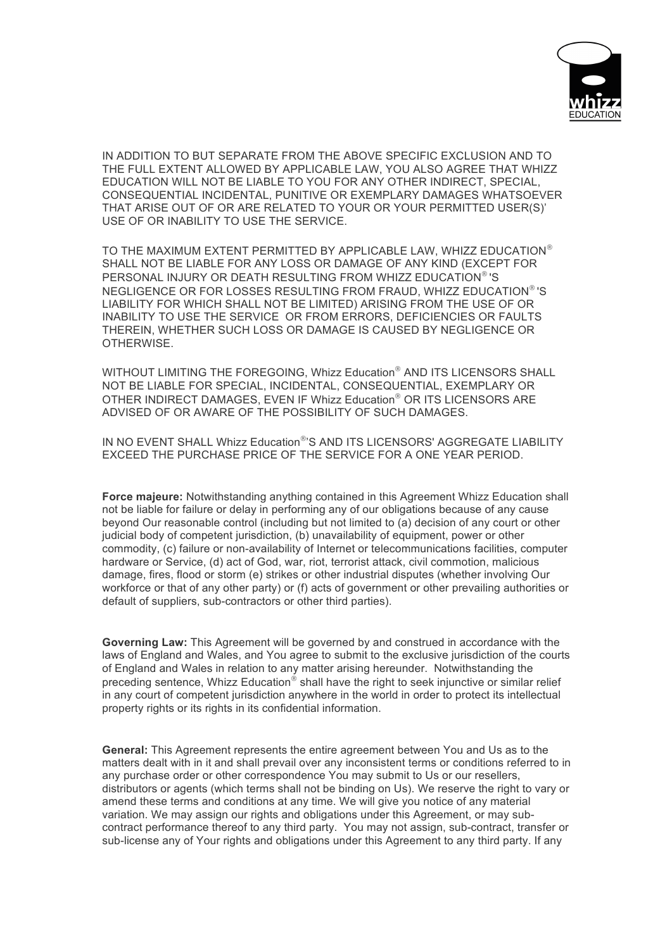

IN ADDITION TO BUT SEPARATE FROM THE ABOVE SPECIFIC EXCLUSION AND TO THE FULL EXTENT ALLOWED BY APPLICABLE LAW, YOU ALSO AGREE THAT WHIZZ EDUCATION WILL NOT BE LIABLE TO YOU FOR ANY OTHER INDIRECT, SPECIAL, CONSEQUENTIAL INCIDENTAL, PUNITIVE OR EXEMPLARY DAMAGES WHATSOEVER THAT ARISE OUT OF OR ARE RELATED TO YOUR OR YOUR PERMITTED USER(S)' USE OF OR INABILITY TO USE THE SERVICE.

TO THE MAXIMUM EXTENT PERMITTED BY APPLICABLE LAW, WHIZZ EDUCATION<sup>®</sup> SHALL NOT BE LIABLE FOR ANY LOSS OR DAMAGE OF ANY KIND (EXCEPT FOR PERSONAL INJURY OR DEATH RESULTING FROM WHIZZ EDUCATION®'S NEGLIGENCE OR FOR LOSSES RESULTING FROM FRAUD, WHIZZ EDUCATION®'S LIABILITY FOR WHICH SHALL NOT BE LIMITED) ARISING FROM THE USE OF OR INABILITY TO USE THE SERVICE OR FROM ERRORS, DEFICIENCIES OR FAULTS THEREIN, WHETHER SUCH LOSS OR DAMAGE IS CAUSED BY NEGLIGENCE OR OTHERWISE.

WITHOUT LIMITING THE FOREGOING, Whizz Education® AND ITS LICENSORS SHALL NOT BE LIABLE FOR SPECIAL, INCIDENTAL, CONSEQUENTIAL, EXEMPLARY OR OTHER INDIRECT DAMAGES, EVEN IF Whizz Education® OR ITS LICENSORS ARE ADVISED OF OR AWARE OF THE POSSIBILITY OF SUCH DAMAGES.

IN NO EVENT SHALL Whizz Education®'S AND ITS LICENSORS' AGGREGATE LIABILITY EXCEED THE PURCHASE PRICE OF THE SERVICE FOR A ONE YEAR PERIOD.

**Force majeure:** Notwithstanding anything contained in this Agreement Whizz Education shall not be liable for failure or delay in performing any of our obligations because of any cause beyond Our reasonable control (including but not limited to (a) decision of any court or other judicial body of competent jurisdiction, (b) unavailability of equipment, power or other commodity, (c) failure or non-availability of Internet or telecommunications facilities, computer hardware or Service, (d) act of God, war, riot, terrorist attack, civil commotion, malicious damage, fires, flood or storm (e) strikes or other industrial disputes (whether involving Our workforce or that of any other party) or (f) acts of government or other prevailing authorities or default of suppliers, sub-contractors or other third parties).

**Governing Law:** This Agreement will be governed by and construed in accordance with the laws of England and Wales, and You agree to submit to the exclusive jurisdiction of the courts of England and Wales in relation to any matter arising hereunder. Notwithstanding the preceding sentence, Whizz Education $^{\circ}$  shall have the right to seek injunctive or similar relief in any court of competent jurisdiction anywhere in the world in order to protect its intellectual property rights or its rights in its confidential information.

**General:** This Agreement represents the entire agreement between You and Us as to the matters dealt with in it and shall prevail over any inconsistent terms or conditions referred to in any purchase order or other correspondence You may submit to Us or our resellers, distributors or agents (which terms shall not be binding on Us). We reserve the right to vary or amend these terms and conditions at any time. We will give you notice of any material variation. We may assign our rights and obligations under this Agreement, or may subcontract performance thereof to any third party. You may not assign, sub-contract, transfer or sub-license any of Your rights and obligations under this Agreement to any third party. If any